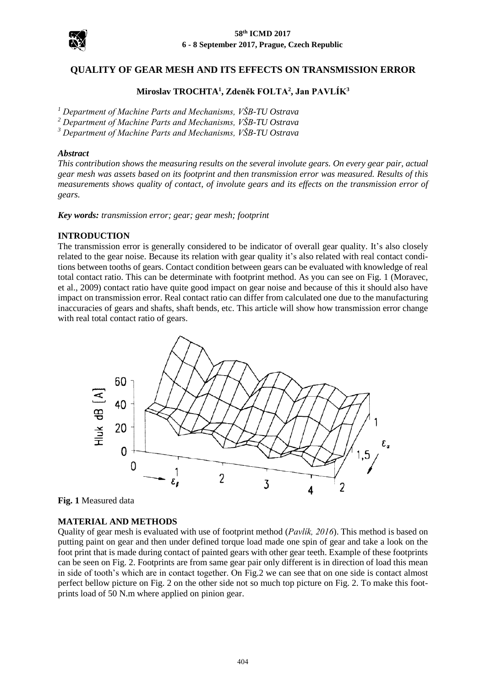

# **QUALITY OF GEAR MESH AND ITS EFFECTS ON TRANSMISSION ERROR**

## **Miroslav TROCHTA<sup>1</sup> , Zdeněk FOLTA<sup>2</sup> , Jan PAVLÍK<sup>3</sup>**

*<sup>1</sup> Department of Machine Parts and Mechanisms, VŠB-TU Ostrava*

*<sup>2</sup> Department of Machine Parts and Mechanisms, VŠB-TU Ostrava*

*<sup>3</sup> Department of Machine Parts and Mechanisms, VŠB-TU Ostrava*

#### *Abstract*

*This contribution shows the measuring results on the several involute gears. On every gear pair, actual gear mesh was assets based on its footprint and then transmission error was measured. Results of this measurements shows quality of contact, of involute gears and its effects on the transmission error of gears.*

*Key words: transmission error; gear; gear mesh; footprint*

#### **INTRODUCTION**

The transmission error is generally considered to be indicator of overall gear quality. It's also closely related to the gear noise. Because its relation with gear quality it's also related with real contact conditions between tooths of gears. Contact condition between gears can be evaluated with knowledge of real total contact ratio. This can be determinate with footprint method. As you can see on Fig. 1 (Moravec, et al., 2009) contact ratio have quite good impact on gear noise and because of this it should also have impact on transmission error. Real contact ratio can differ from calculated one due to the manufacturing inaccuracies of gears and shafts, shaft bends, etc. This article will show how transmission error change with real total contact ratio of gears.



**Fig. 1** Measured data

#### **MATERIAL AND METHODS**

Quality of gear mesh is evaluated with use of footprint method (*Pavlík, 2016*). This method is based on putting paint on gear and then under defined torque load made one spin of gear and take a look on the foot print that is made during contact of painted gears with other gear teeth. Example of these footprints can be seen on Fig. 2. Footprints are from same gear pair only different is in direction of load this mean in side of tooth's which are in contact together. On Fig.2 we can see that on one side is contact almost perfect bellow picture on Fig. 2 on the other side not so much top picture on Fig. 2. To make this footprints load of 50 N.m where applied on pinion gear.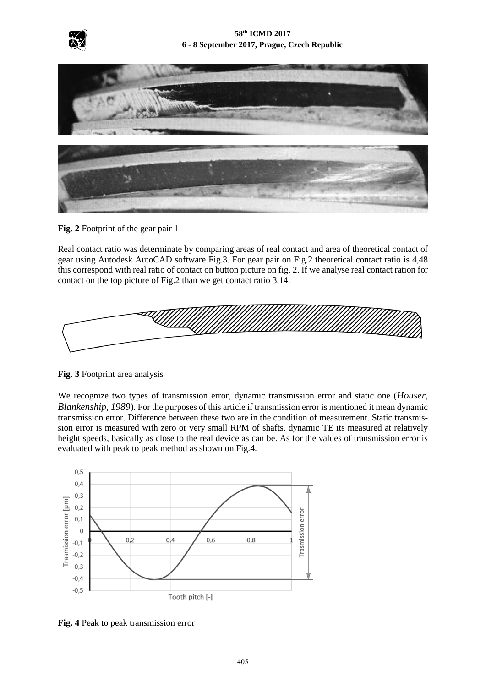



**Fig. 2** Footprint of the gear pair 1

Real contact ratio was determinate by comparing areas of real contact and area of theoretical contact of gear using Autodesk AutoCAD software Fig.3. For gear pair on Fig.2 theoretical contact ratio is 4,48 this correspond with real ratio of contact on button picture on fig. 2. If we analyse real contact ration for contact on the top picture of Fig.2 than we get contact ratio 3,14.



**Fig. 3** Footprint area analysis

We recognize two types of transmission error, dynamic transmission error and static one (*Houser, Blankenship, 1989*). For the purposes of this article if transmission error is mentioned it mean dynamic transmission error. Difference between these two are in the condition of measurement. Static transmission error is measured with zero or very small RPM of shafts, dynamic TE its measured at relatively height speeds, basically as close to the real device as can be. As for the values of transmission error is evaluated with peak to peak method as shown on Fig.4.



**Fig. 4** Peak to peak transmission error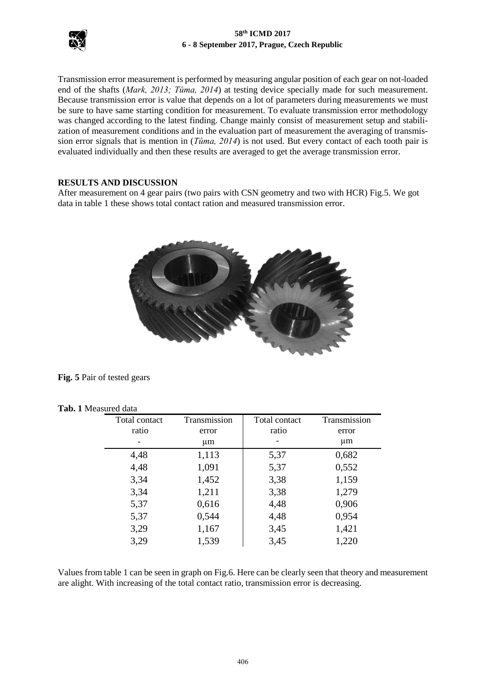

### **58th ICMD 2017 6 - 8 September 2017, Prague, Czech Republic**

Transmission error measurement is performed by measuring angular position of each gear on not-loaded end of the shafts (*Mark, 2013; Tůma, 2014*) at testing device specially made for such measurement. Because transmission error is value that depends on a lot of parameters during measurements we must be sure to have same starting condition for measurement. To evaluate transmission error methodology was changed according to the latest finding. Change mainly consist of measurement setup and stabilization of measurement conditions and in the evaluation part of measurement the averaging of transmission error signals that is mention in (*Tůma, 2014*) is not used. But every contact of each tooth pair is evaluated individually and then these results are averaged to get the average transmission error.

### **RESULTS AND DISCUSSION**

After measurement on 4 gear pairs (two pairs with CSN geometry and two with HCR) Fig.5. We got data in table 1 these shows total contact ration and measured transmission error.



**Fig. 5** Pair of tested gears

|  |  | <b>Tab. 1 Measured data</b> |  |
|--|--|-----------------------------|--|
|--|--|-----------------------------|--|

| Total contact | Transmission | Total contact | Transmission |
|---------------|--------------|---------------|--------------|
| ratio         | error        | ratio         | error        |
|               | $\mu$ m      |               | $\mu$ m      |
| 4,48          | 1,113        | 5,37          | 0,682        |
| 4,48          | 1,091        | 5,37          | 0,552        |
| 3,34          | 1,452        | 3,38          | 1,159        |
| 3,34          | 1,211        | 3,38          | 1,279        |
| 5,37          | 0,616        | 4,48          | 0,906        |
| 5,37          | 0,544        | 4,48          | 0,954        |
| 3,29          | 1,167        | 3,45          | 1,421        |
| 3,29          | 1,539        | 3,45          | 1,220        |

Values from table 1 can be seen in graph on Fig.6. Here can be clearly seen that theory and measurement are alight. With increasing of the total contact ratio, transmission error is decreasing.